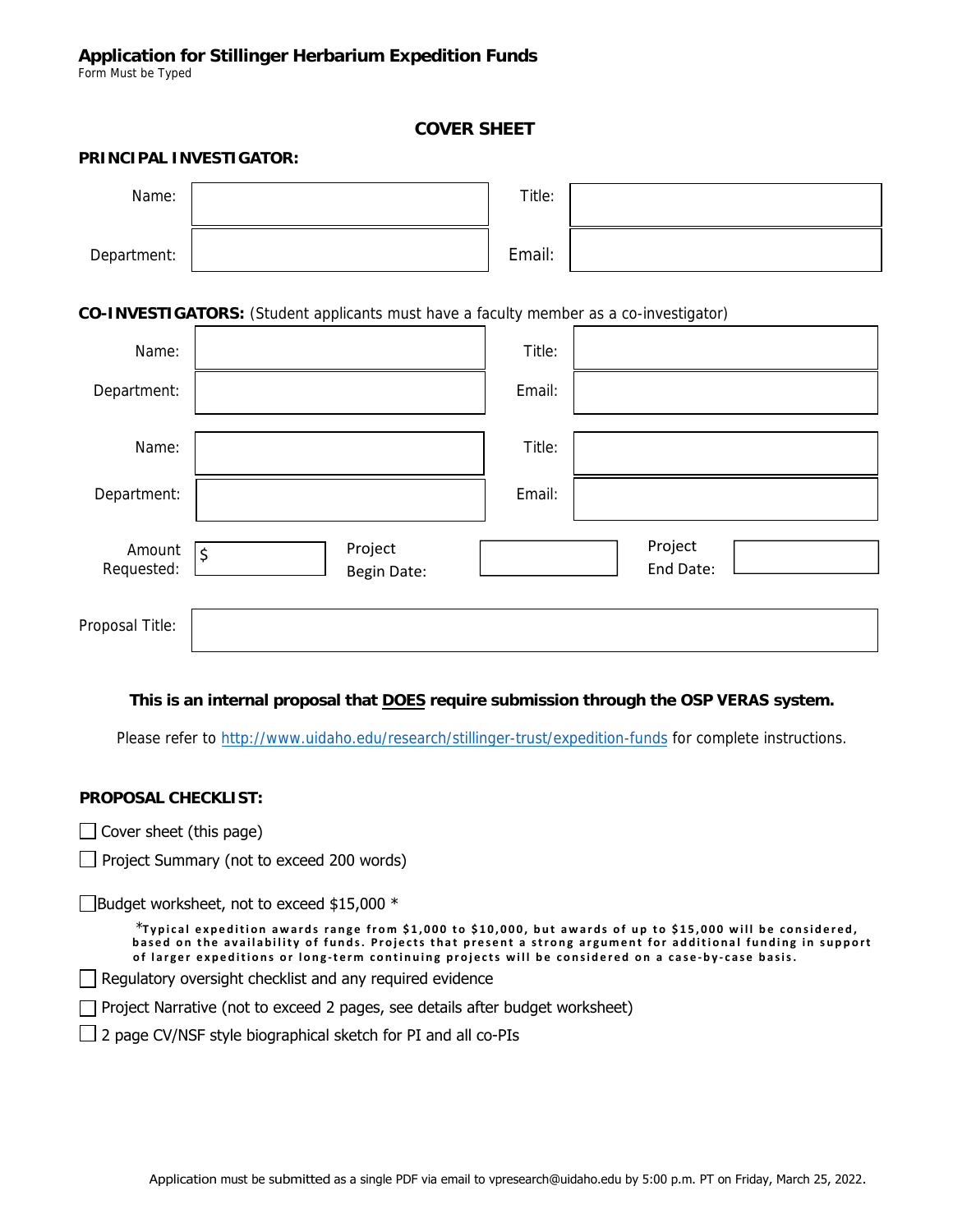### **COVER SHEET**

#### **PRINCIPAL INVESTIGATOR:**

| Name:                                                                                  |                                   | Title: |                      |  |  |  |  |  |
|----------------------------------------------------------------------------------------|-----------------------------------|--------|----------------------|--|--|--|--|--|
| Department:                                                                            |                                   | Email: |                      |  |  |  |  |  |
| CO-INVESTIGATORS: (Student applicants must have a faculty member as a co-investigator) |                                   |        |                      |  |  |  |  |  |
| Name:                                                                                  |                                   | Title: |                      |  |  |  |  |  |
| Department:                                                                            |                                   | Email: |                      |  |  |  |  |  |
| Name:                                                                                  |                                   | Title: |                      |  |  |  |  |  |
| Department:                                                                            |                                   | Email: |                      |  |  |  |  |  |
| Amount<br>Requested:                                                                   | Project<br>$\zeta$<br>Begin Date: |        | Project<br>End Date: |  |  |  |  |  |
| Proposal Title:                                                                        |                                   |        |                      |  |  |  |  |  |

#### **This is an internal proposal that DOES require submission through the OSP VERAS system.**

Please refer to http://www.uidaho.edu/research/stillinger-trust/expedition-funds for complete instructions.

#### **PROPOSAL CHECKLIST:**

- $\Box$  Cover sheet (this page)
- $\Box$  Project Summary (not to exceed 200 words)

 $\Box$ Budget worksheet, not to exceed \$15,000  $^*$ 

\***Typical expedition awards range from \$1,000 to \$10,000, but awards of up to \$15,000 will be considered, based on the availability of funds. Projects that pres ent a stro ng argument for additional funding in support of larger expeditions or long-term continuing projects will be considered on a case-by-case basis.**

Regulatory oversight checklist and any required evidence

 $\Box$  Project Narrative (not to exceed 2 pages, see details after budget worksheet)

 $\Box$  2 page CV/NSF style biographical sketch for PI and all co-PIs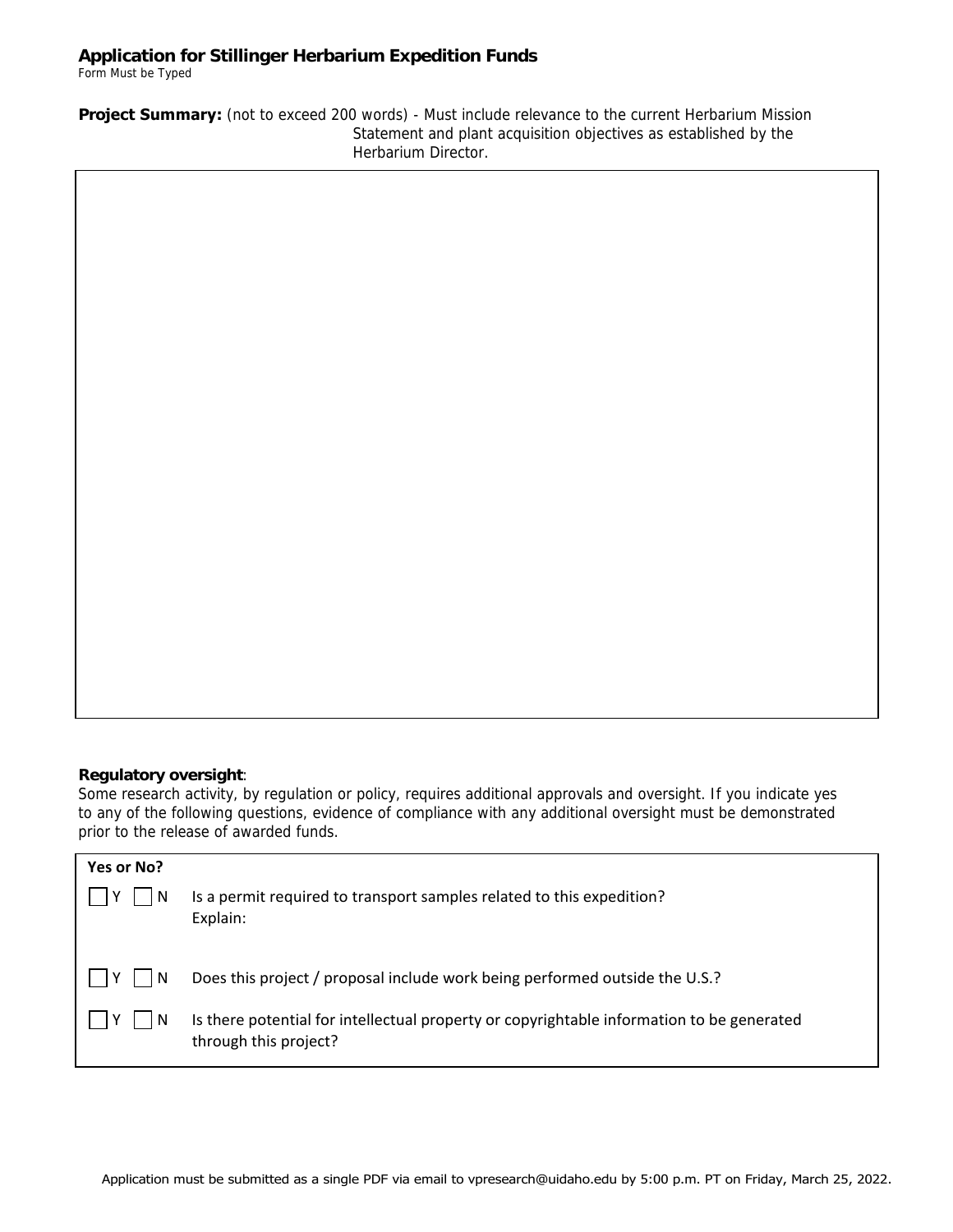# **Application for Stillinger Herbarium Expedition Funds**

Form Must be Typed

**Project Summary:** (not to exceed 200 words) - Must include relevance to the current Herbarium Mission Statement and plant acquisition objectives as established by the Herbarium Director.

## **Regulatory oversight**:

Some research activity, by regulation or policy, requires additional approvals and oversight. If you indicate yes to any of the following questions, evidence of compliance with any additional oversight must be demonstrated prior to the release of awarded funds.

| Yes or No? | Is a permit required to transport samples related to this expedition?                                                                                                                             |
|------------|---------------------------------------------------------------------------------------------------------------------------------------------------------------------------------------------------|
| -N         | Explain:                                                                                                                                                                                          |
| -N         | Does this project / proposal include work being performed outside the U.S.?<br>Is there potential for intellectual property or copyrightable information to be generated<br>through this project? |